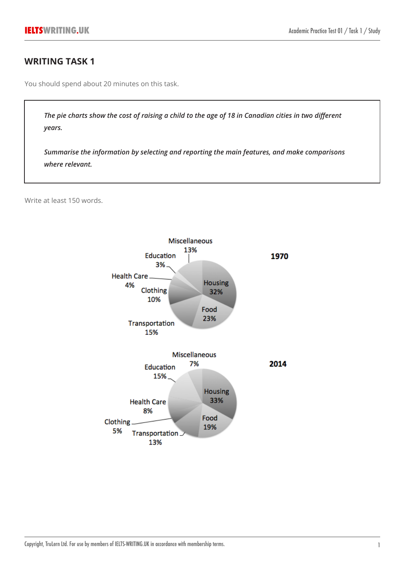# **WRITING TASK 1**

You should spend about 20 minutes on this task.

*The pie charts show the cost of raising a child to the age of 18 in Canadian cities in two different years.*

*Summarise the information by selecting and reporting the main features, and make comparisons where relevant.*

Write at least 150 words.

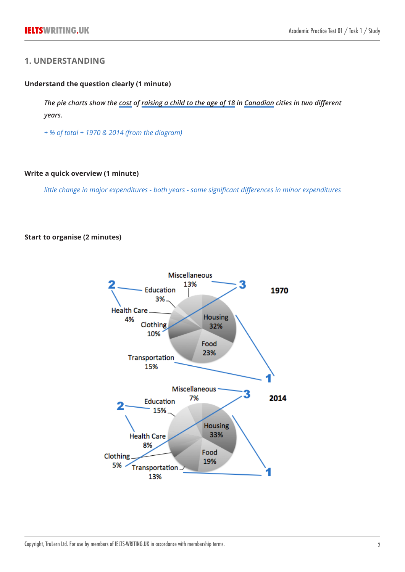## **1. UNDERSTANDING**

### **Understand the question clearly (1 minute)**

*The pie charts show the cost of raising a child to the age of 18 in Canadian cities in two different years.*

*+ % of total + 1970 & 2014 (from the diagram)*

#### **Write a quick overview (1 minute)**

*little change in major expenditures - both years - some significant differences in minor expenditures*

### **Start to organise (2 minutes)**

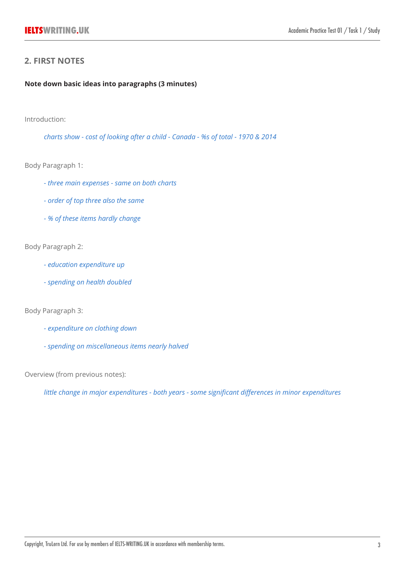# **2. FIRST NOTES**

### **Note down basic ideas into paragraphs (3 minutes)**

Introduction:

*charts show - cost of looking after a child - Canada - %s of total - 1970 & 2014*

Body Paragraph 1:

- *three main expenses same on both charts*
- *order of top three also the same*
- *% of these items hardly change*

### Body Paragraph 2:

- *education expenditure up*
- *spending on health doubled*

Body Paragraph 3:

- *expenditure on clothing down*
- *spending on miscellaneous items nearly halved*

Overview (from previous notes):

*little change in major expenditures - both years - some significant differences in minor expenditures*